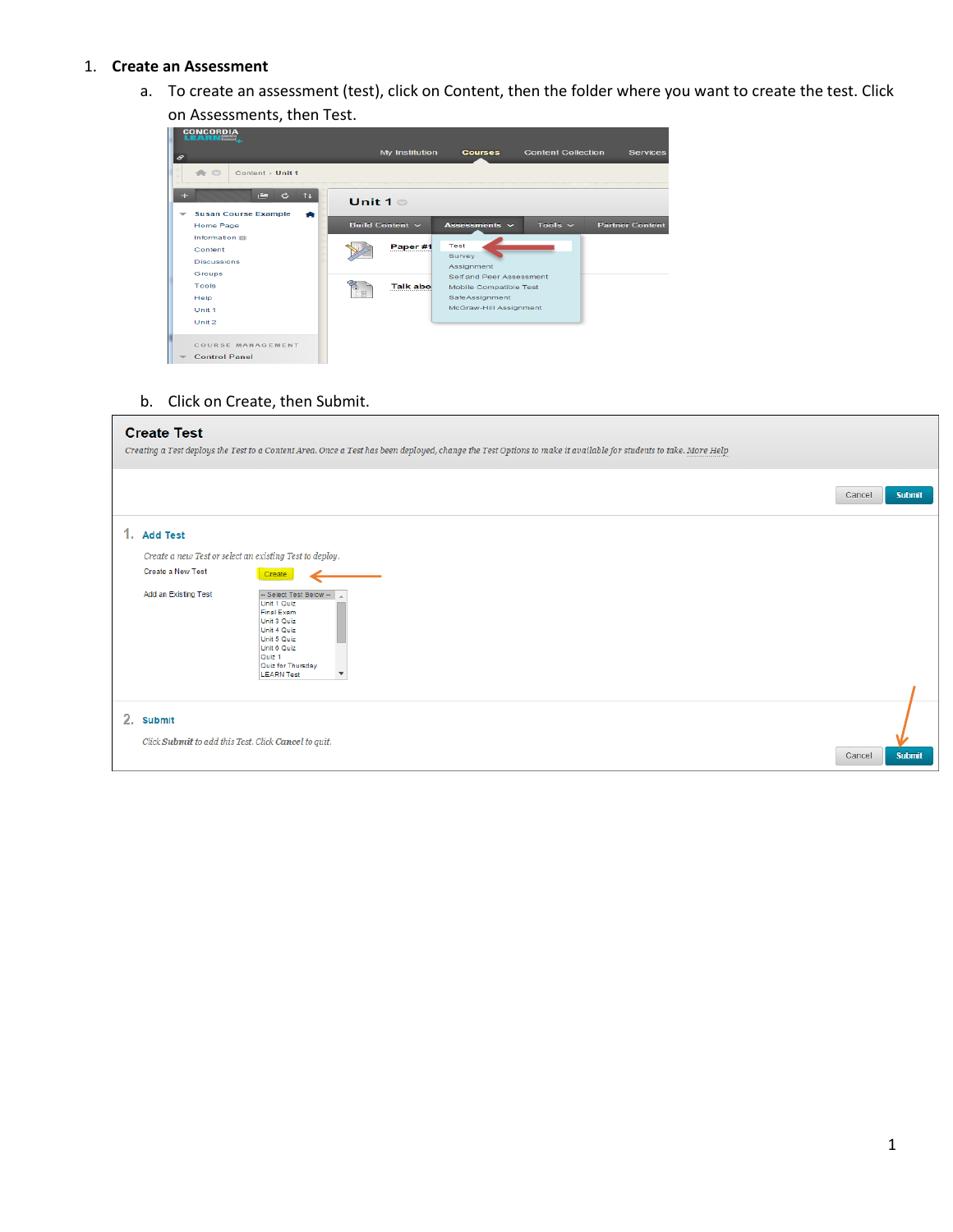#### 1. **Create an Assessment**

a. To create an assessment (test), click on Content, then the folder where you want to create the test. Click

on Assessments, then Test.

| 8   | <b>CONCORDIA</b>                                          |                        | My Institution                    | <b>Courses</b>                                                                     | <b>Content Collection</b> | <b>Services</b>        |
|-----|-----------------------------------------------------------|------------------------|-----------------------------------|------------------------------------------------------------------------------------|---------------------------|------------------------|
| $+$ | $\triangle$ $\circ$<br>Content > Unit 1<br>Ē.<br>11<br>c. |                        |                                   |                                                                                    |                           |                        |
| ÷   | <b>Susan Course Example</b><br>æ<br><b>Home Page</b>      |                        | Unit $1 \circ$<br>Build Content ~ | Assessments $\sim$                                                                 | Tools $\sim$              | <b>Partner Content</b> |
|     | Information <b>88</b><br>Content<br><b>Discussions</b>    |                        | Paper #1                          | <b>Test</b><br>Survey                                                              |                           |                        |
|     | Groups<br>Tools<br>Help                                   | $\overline{1+1}$<br>计图 | <b>Talk abo</b>                   | Assignment<br>Self and Peer Assessment<br>Mobile Compatible Test<br>SafeAssignment |                           |                        |
|     | Unit <sub>1</sub><br>Unit 2                               |                        |                                   | McGraw-Hill Assignment                                                             |                           |                        |
|     | COURSE MANAGEMENT<br><b>Control Panel</b>                 |                        |                                   |                                                                                    |                           |                        |

b. Click on Create, then Submit.

## **Create Test**

| Creating a Test deploys the Test to a Content Area. Once a Test has been deployed, change the Test Options to make it available for students to take. More Help                                                                   |                         |
|-----------------------------------------------------------------------------------------------------------------------------------------------------------------------------------------------------------------------------------|-------------------------|
|                                                                                                                                                                                                                                   | <b>Submit</b><br>Cancel |
| 1. Add Test                                                                                                                                                                                                                       |                         |
| Create a new Test or select an existing Test to deploy.                                                                                                                                                                           |                         |
| Create a New Test<br>Create                                                                                                                                                                                                       |                         |
| Add an Existing Test<br>-- Select Test Below-<br>Unit 1 Quiz<br>Final Exam<br>Unit 3 Quiz<br>Unit 4 Quiz<br>Unit 5 Quiz<br>Unit 6 Quiz<br>Quiz <sub>1</sub><br>Quiz for Thursday<br><b>LEARN Test</b><br>$\overline{\phantom{a}}$ |                         |
| 2. Submit<br>Click Submit to add this Test. Click Cancel to quit.                                                                                                                                                                 | <b>Submit</b><br>Cancel |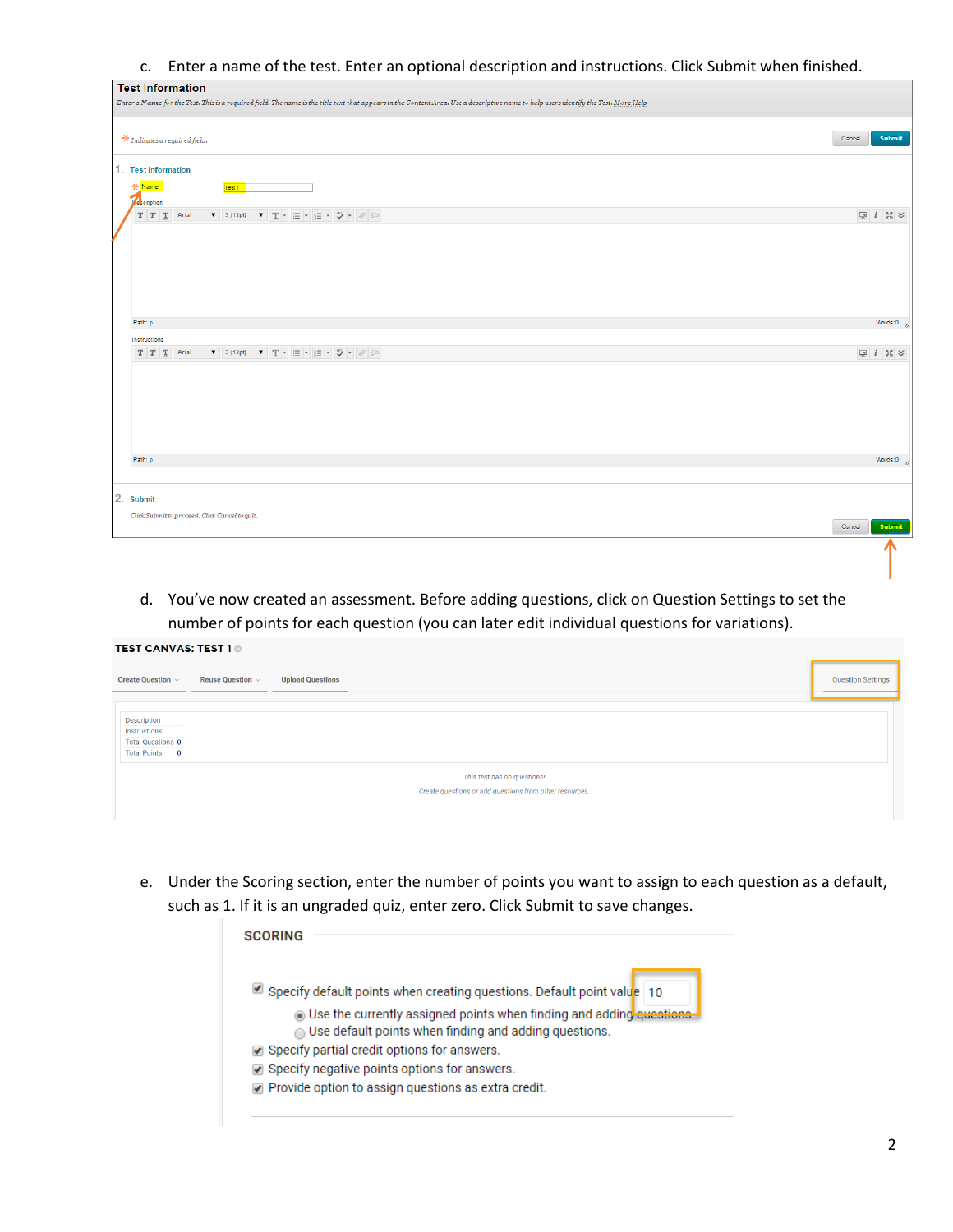c. Enter a name of the test. Enter an optional description and instructions. Click Submit when finished.

| <b>Test Information</b>                                                                                                                                                             |                                                          |
|-------------------------------------------------------------------------------------------------------------------------------------------------------------------------------------|----------------------------------------------------------|
| Enter a Name for the Test. This is a required field. The name is the title text that appears in the Content Area. Use a descriptive name to help users identify the Test. More Help |                                                          |
| $*$ Indicates a required field.                                                                                                                                                     | <b>Submit</b><br>Cancel                                  |
| 1. Test Information                                                                                                                                                                 |                                                          |
| - Name<br>Test 1<br>$\sqrt{\frac{1}{2}}$ cription                                                                                                                                   |                                                          |
| $T$ $T$ $T$ Arial<br>▼ 3 (12pt) ▼ T - 三 - 巨 - ツ - ∥ ど                                                                                                                               | $\boxed{\mathbb{Q}}\ \ \  i\ \ \mathbb{M}\ \ \mathbb{V}$ |
|                                                                                                                                                                                     |                                                          |
|                                                                                                                                                                                     |                                                          |
|                                                                                                                                                                                     |                                                          |
| Path: p                                                                                                                                                                             | Words:0                                                  |
| Instructions                                                                                                                                                                        |                                                          |
| ▼ 3 (12pt) ▼ T - 三 - 三 - ⇒ → クジ<br>$T$ $T$ $T$ Arial                                                                                                                                | $\Box i \times \times$                                   |
|                                                                                                                                                                                     |                                                          |
|                                                                                                                                                                                     |                                                          |
|                                                                                                                                                                                     |                                                          |
|                                                                                                                                                                                     |                                                          |
| Path: p                                                                                                                                                                             | Words:0                                                  |
|                                                                                                                                                                                     |                                                          |
| 2. Submit                                                                                                                                                                           |                                                          |
| Click Submit to proceed. Click Cancel to quit.                                                                                                                                      | Submit<br>Cancel                                         |
|                                                                                                                                                                                     |                                                          |

d. You've now created an assessment. Before adding questions, click on Question Settings to set the number of points for each question (you can later edit individual questions for variations).

#### **TEST CANVAS: TEST 1** ©

| <b>Upload Questions</b><br><b>Reuse Question</b> $\vee$<br>Create Question v |  |  |  |
|------------------------------------------------------------------------------|--|--|--|
|                                                                              |  |  |  |
| Description                                                                  |  |  |  |
| Instructions                                                                 |  |  |  |
| <b>Total Questions 0</b>                                                     |  |  |  |
| Total Points 0                                                               |  |  |  |
| This test has no questions!                                                  |  |  |  |
| Create questions or add questions from other resources.                      |  |  |  |
|                                                                              |  |  |  |

e. Under the Scoring section, enter the number of points you want to assign to each question as a default, such as 1. If it is an ungraded quiz, enter zero. Click Submit to save changes.

| <b>SCORING</b> |                                                                                                                                                   |  |
|----------------|---------------------------------------------------------------------------------------------------------------------------------------------------|--|
|                | Specify default points when creating questions. Default point value 10                                                                            |  |
|                | <b>O</b> Use the currently assigned points when finding and adding questions.<br>$\bigcirc$ Use default points when finding and adding questions. |  |
|                | ◯ Specify partial credit options for answers.                                                                                                     |  |
|                | $\vee$ Specify negative points options for answers.                                                                                               |  |
|                | Provide option to assign questions as extra credit.                                                                                               |  |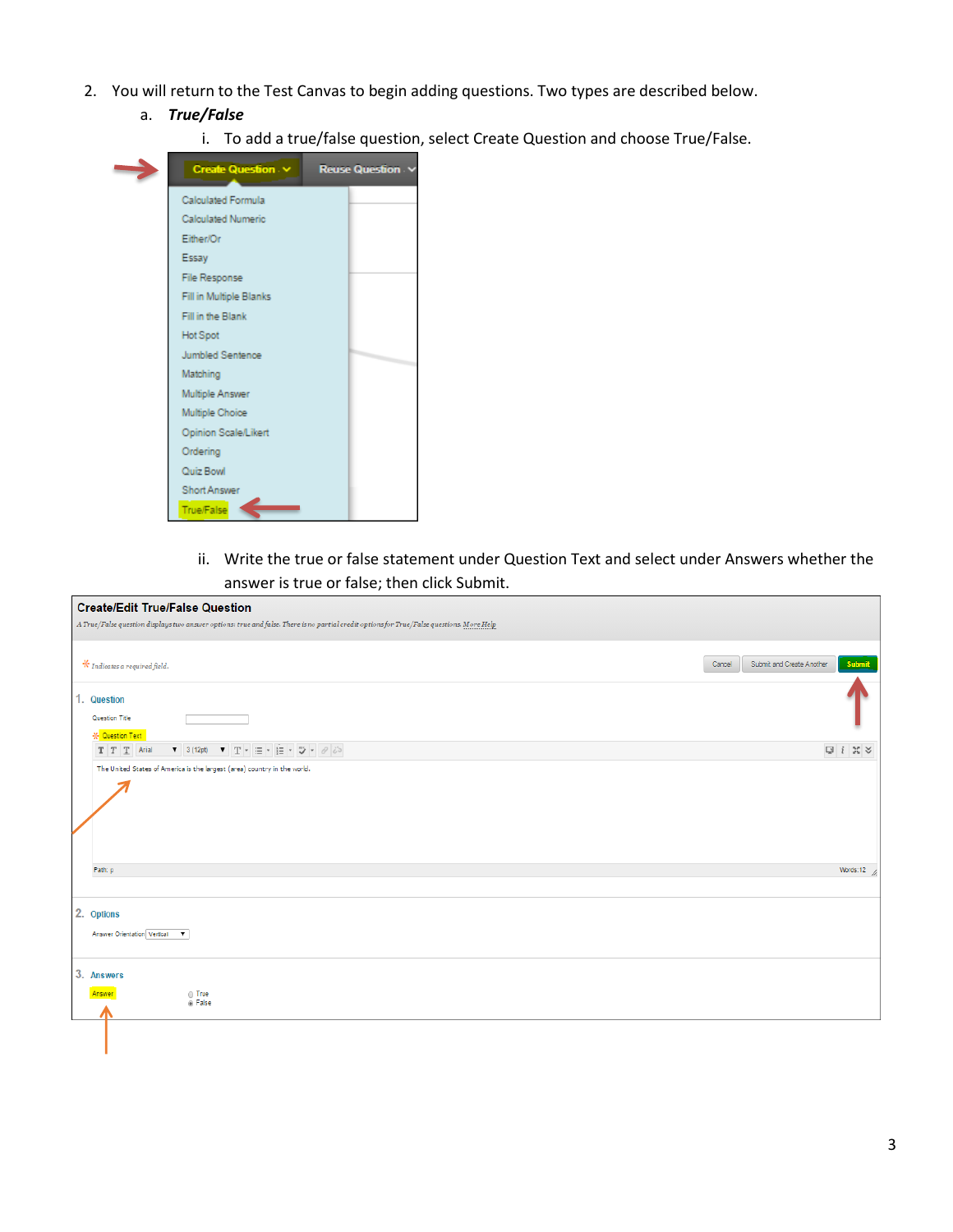- 2. You will return to the Test Canvas to begin adding questions. Two types are described below.
	- a. *True/False*
		- i. To add a true/false question, select Create Question and choose True/False.



ii. Write the true or false statement under Question Text and select under Answers whether the answer is true or false; then click Submit.

| <b>Create/Edit True/False Question</b>                                                                                                    |                                                                               |
|-------------------------------------------------------------------------------------------------------------------------------------------|-------------------------------------------------------------------------------|
| A True/False question displays two answer options: true and false. There is no partial credit options for True/False questions. More Help |                                                                               |
| $\textcolor{blue}{\textbf{.}^{\textbf{.}}}$ Indicates a required field.                                                                   | Submit<br>Submit and Create Another<br>Cancel                                 |
| 1. Question                                                                                                                               |                                                                               |
| Question Title                                                                                                                            |                                                                               |
| <b>X</b> Question Text<br>$T$ $T$ $T$ Arial                                                                                               | $\boxed{\mathbb{Q}}\ \ \text{if}\ \ \mathbb{M}\ \ \text{\large $\mathbb{X}$}$ |
| The United States of America is the largest (area) country in the world.                                                                  |                                                                               |
| Path: p                                                                                                                                   | Words:12 $\frac{1}{2}$                                                        |
| 2. Options<br>Answer Orientation Vertical V                                                                                               |                                                                               |
| 3. Answers<br>$\odot$ True<br>Answer<br><sup>®</sup> False                                                                                |                                                                               |
|                                                                                                                                           |                                                                               |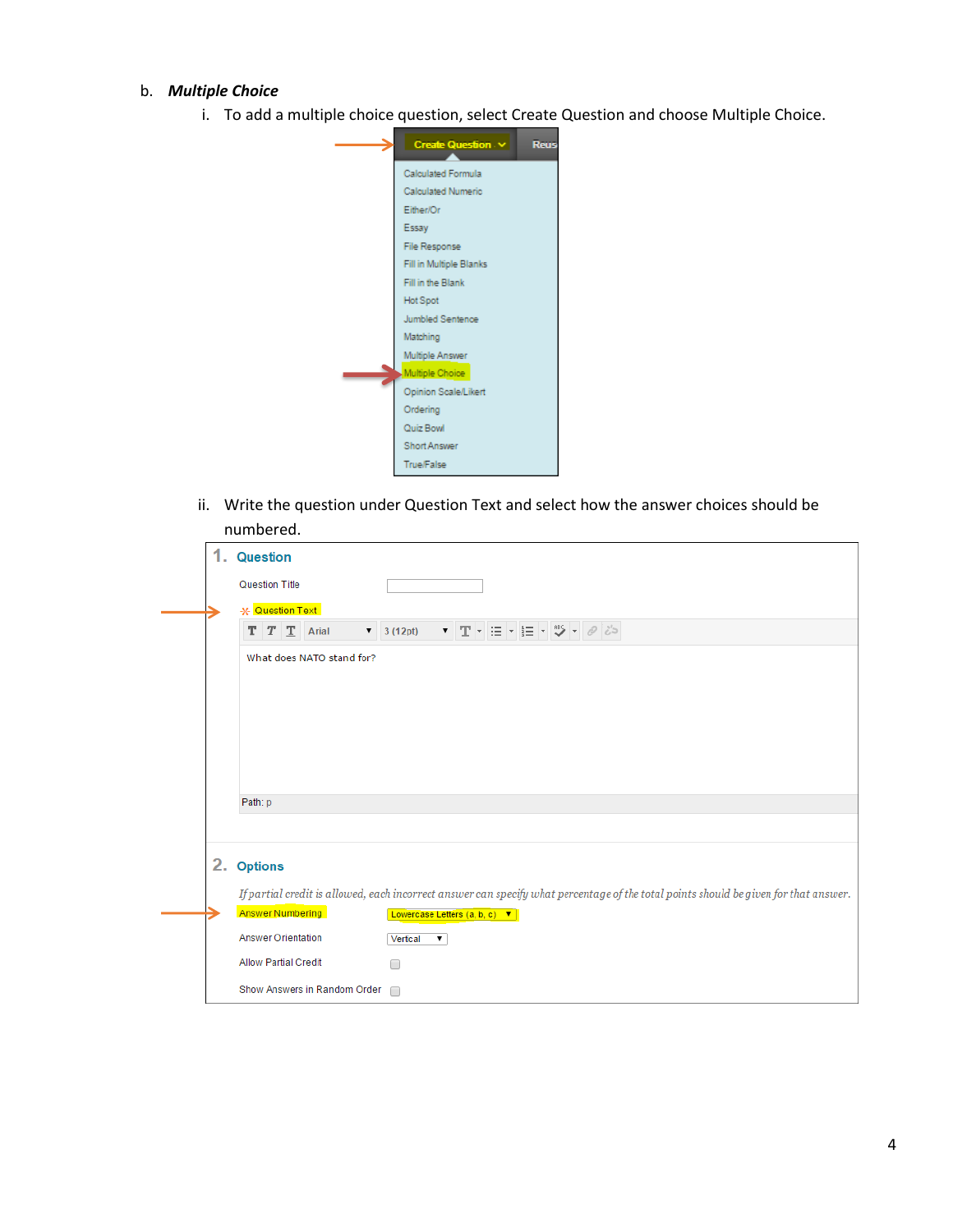#### b. *Multiple Choice*

i. To add a multiple choice question, select Create Question and choose Multiple Choice.



ii. Write the question under Question Text and select how the answer choices should be numbered.

| .                                                                                                                                    |
|--------------------------------------------------------------------------------------------------------------------------------------|
| 1. Question                                                                                                                          |
| <b>Question Title</b>                                                                                                                |
| * Question Text                                                                                                                      |
| ▼ 3 (12pt) ▼ T マ 三 マ 圭 マ <sup>95</sup> マ <i>@ じ</i> っ<br>$T$ $T$ $T$ Arial                                                           |
| What does NATO stand for?                                                                                                            |
|                                                                                                                                      |
|                                                                                                                                      |
|                                                                                                                                      |
|                                                                                                                                      |
| Path: p                                                                                                                              |
|                                                                                                                                      |
|                                                                                                                                      |
| 2. Options                                                                                                                           |
| If partial credit is allowed, each incorrect answer can specify what percentage of the total points should be given for that answer. |
| <b>Answer Numbering</b><br>Lowercase Letters (a, b, c) ▼                                                                             |
| <b>Answer Orientation</b><br>Vertical<br>$\pmb{\mathrm{v}}$                                                                          |
| <b>Allow Partial Credit</b><br>∩                                                                                                     |
| Show Answers in Random Order<br>$\Box$                                                                                               |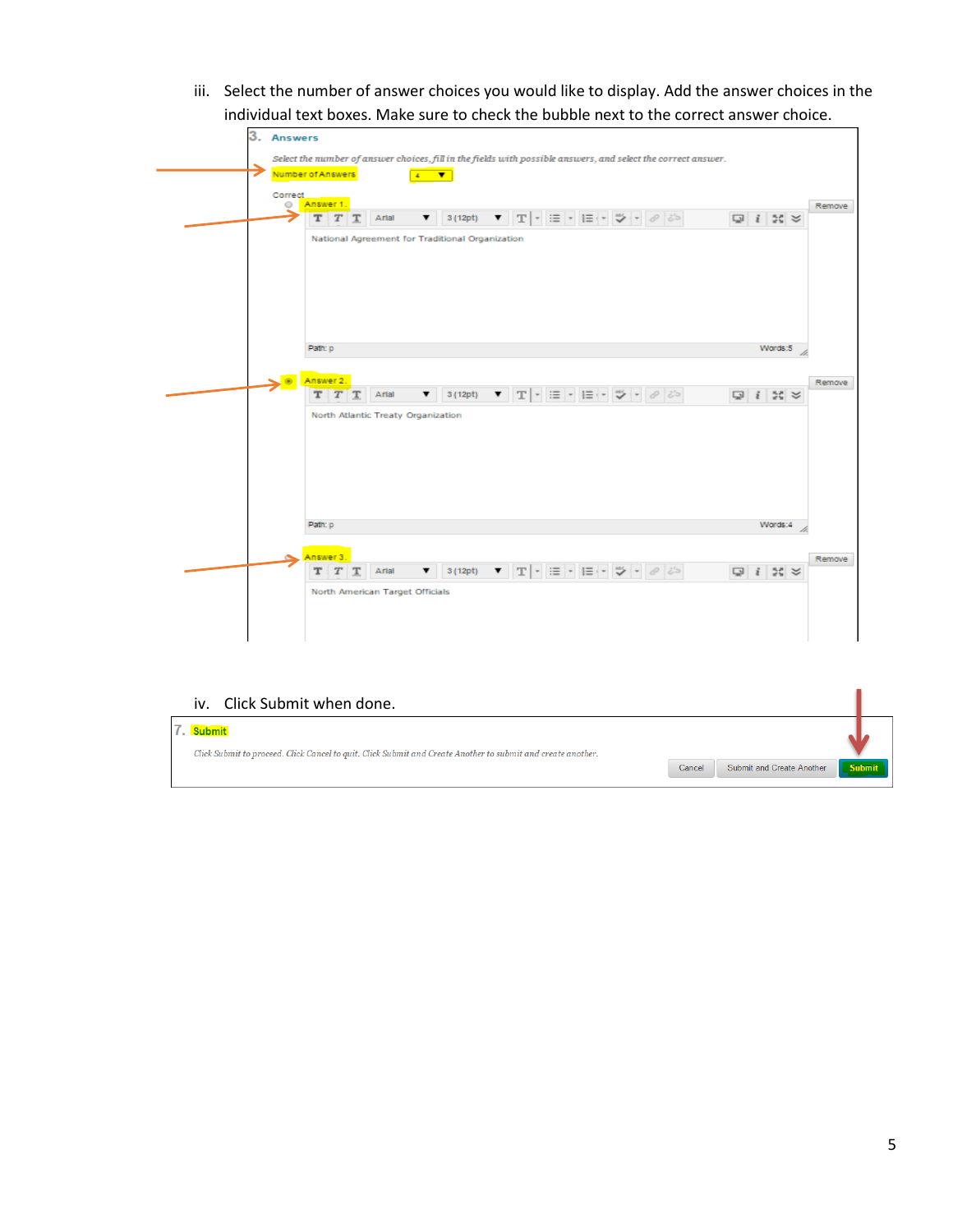iii. Select the number of answer choices you would like to display. Add the answer choices in the individual text boxes. Make sure to check the bubble next to the correct answer choice.

| Answer 1.<br>0       |                                    |                                                 |                                                                                                                                                                |                                                                                                                 | Remove                      |
|----------------------|------------------------------------|-------------------------------------------------|----------------------------------------------------------------------------------------------------------------------------------------------------------------|-----------------------------------------------------------------------------------------------------------------|-----------------------------|
| $T$ $T$              | Artal<br>т                         | 3(12pt)<br>▼                                    |                                                                                                                                                                | $\blacktriangledown \ \mathbf{T}\ \cdot\ \equiv \mathbf{r}\ \equiv \mathbf{r}\ \mathbf{w}\ \cdot\ \mathbf{v}\ $ | $Q$ $i$ $N$ $\approx$       |
|                      |                                    | National Agreement for Traditional Organization |                                                                                                                                                                |                                                                                                                 |                             |
| Patr: p<br>Answer 2. |                                    |                                                 |                                                                                                                                                                |                                                                                                                 | Words:5<br>Remove           |
| T<br>т               | Artal<br>т                         | 3(12pt)<br>▼                                    | $\mathbf{v} \quad \mathbf{T} \mid \mathbf{v} \mid \mathbf{H} \mid \mathbf{v} \mid \mathbf{H} \mid \mathbf{v} \mid \mathbf{V} \mid \mathbf{v} \mid \mathcal{O}$ |                                                                                                                 | $Q$ $i$ $\approx$ $\approx$ |
|                      | North Atlantic Treaty Organization |                                                 |                                                                                                                                                                |                                                                                                                 |                             |
| Path: p              |                                    |                                                 |                                                                                                                                                                |                                                                                                                 | Words:4                     |
|                      |                                    |                                                 |                                                                                                                                                                |                                                                                                                 |                             |
| Answer 3.            |                                    |                                                 |                                                                                                                                                                |                                                                                                                 | Remove                      |

### iv. Click Submit when done.

| 7. Submit<br>Click Submit to proceed. Click Cancel to quit. Click Submit and Create Another to submit and create another. |        |                           |  |        |  |
|---------------------------------------------------------------------------------------------------------------------------|--------|---------------------------|--|--------|--|
|                                                                                                                           | Cancel | Submit and Create Another |  | Submit |  |

ı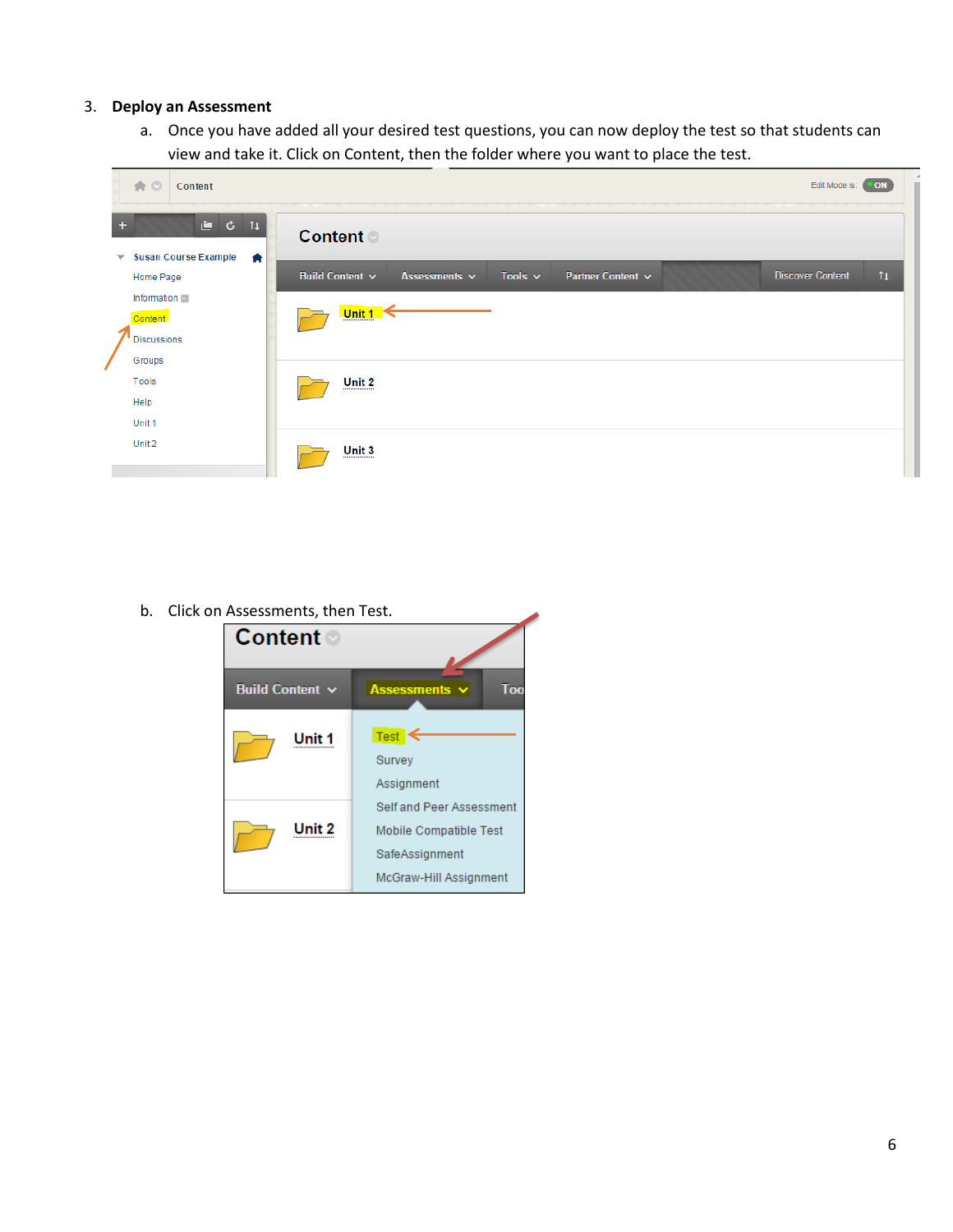# 3. **Deploy an Assessment**

a. Once you have added all your desired test questions, you can now deploy the test so that students can view and take it. Click on Content, then the folder where you want to place the test.

|                          | 合口                                                             | Content       | Edit Mode is:<br><b>ON</b>                                                                                                   |  |
|--------------------------|----------------------------------------------------------------|---------------|------------------------------------------------------------------------------------------------------------------------------|--|
|                          |                                                                | <b>e</b> c t⊥ | <b>Content</b>                                                                                                               |  |
| $\overline{\phantom{a}}$ | <b>Susan Course Example</b><br>Home Page                       | 合             | <b>Discover Content</b><br>$\mathfrak{t}$<br>Tools $\sim$<br>Partner Content ~<br>Build Content $\sim$<br>Assessments $\sim$ |  |
|                          | Information <b>III</b><br><b>Content</b><br><b>Discussions</b> |               | Unit $1 \leq$                                                                                                                |  |
|                          | Groups<br>Tools                                                |               | Unit 2                                                                                                                       |  |
|                          | Help<br>Unit 1                                                 |               |                                                                                                                              |  |
|                          | Unit 2                                                         |               | Unit 3                                                                                                                       |  |

◢

b. Click on Assessments, then Test.

| Content ◎            |                                                                                                |
|----------------------|------------------------------------------------------------------------------------------------|
| Build Content $\sim$ | Too<br>Assessments $\sim$                                                                      |
| Unit 1               | Test<br>Survey<br>Assignment                                                                   |
| Unit 2               | Self and Peer Assessment<br>Mobile Compatible Test<br>SafeAssignment<br>McGraw-Hill Assignment |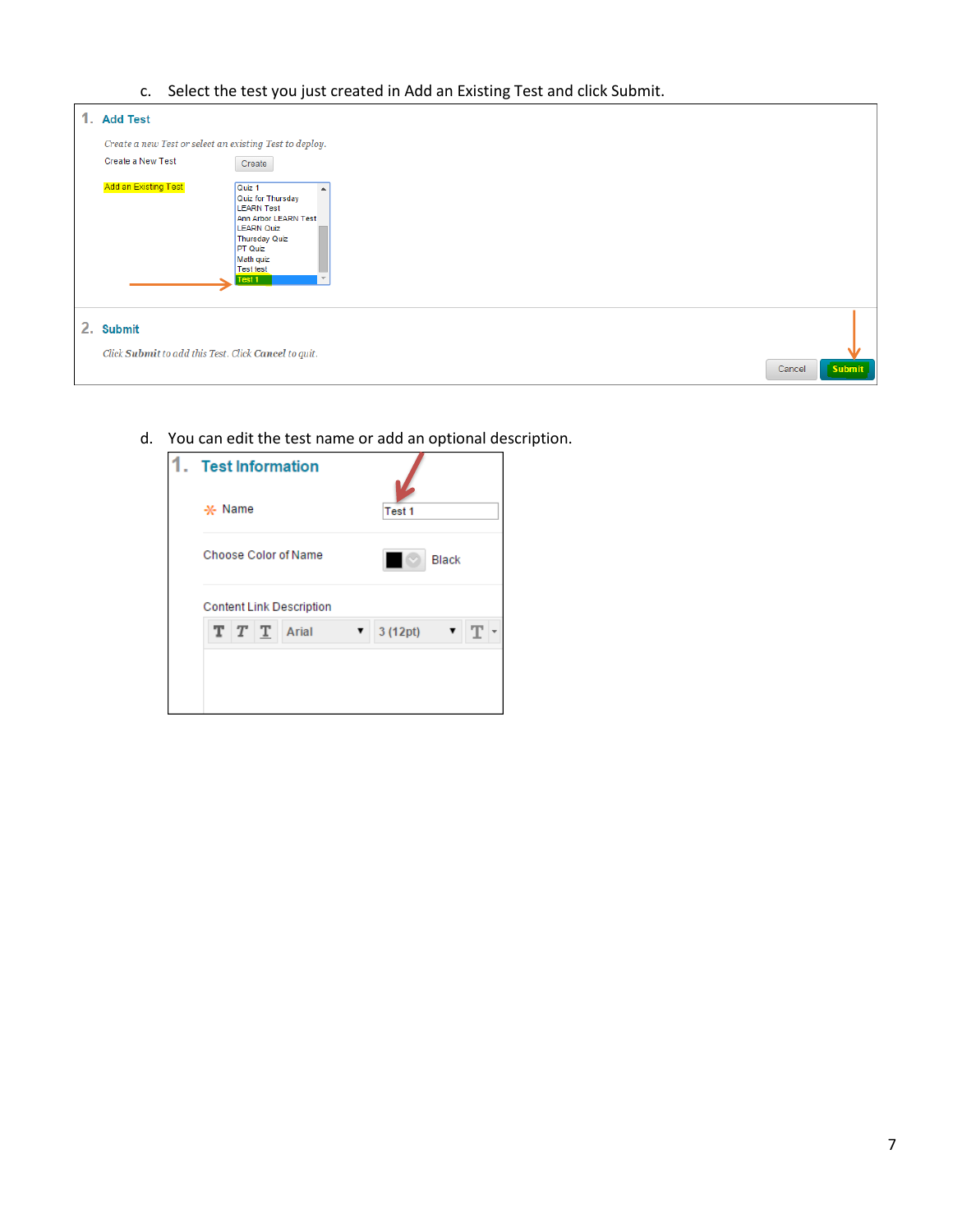c. Select the test you just created in Add an Existing Test and click Submit.

| 1. Add Test                                                       |                                                                                                                                                                                    |        |               |
|-------------------------------------------------------------------|------------------------------------------------------------------------------------------------------------------------------------------------------------------------------------|--------|---------------|
| Create a new Test or select an existing Test to deploy.           |                                                                                                                                                                                    |        |               |
| Create a New Test                                                 | Create                                                                                                                                                                             |        |               |
| <b>Add an Existing Test</b>                                       | Quiz 1<br>Quiz for Thursday<br><b>LEARN Test</b><br>Ann Arbor LEARN Test<br><b>LEARN Quiz</b><br>Thursday Quiz<br><b>PT Quiz</b><br>Math quiz<br><b>Test test</b><br><b>Test 1</b> |        |               |
| 2. Submit<br>Click Submit to add this Test. Click Cancel to quit. |                                                                                                                                                                                    |        |               |
|                                                                   |                                                                                                                                                                                    | Cancel | <b>Submit</b> |

d. You can edit the test name or add an optional description.

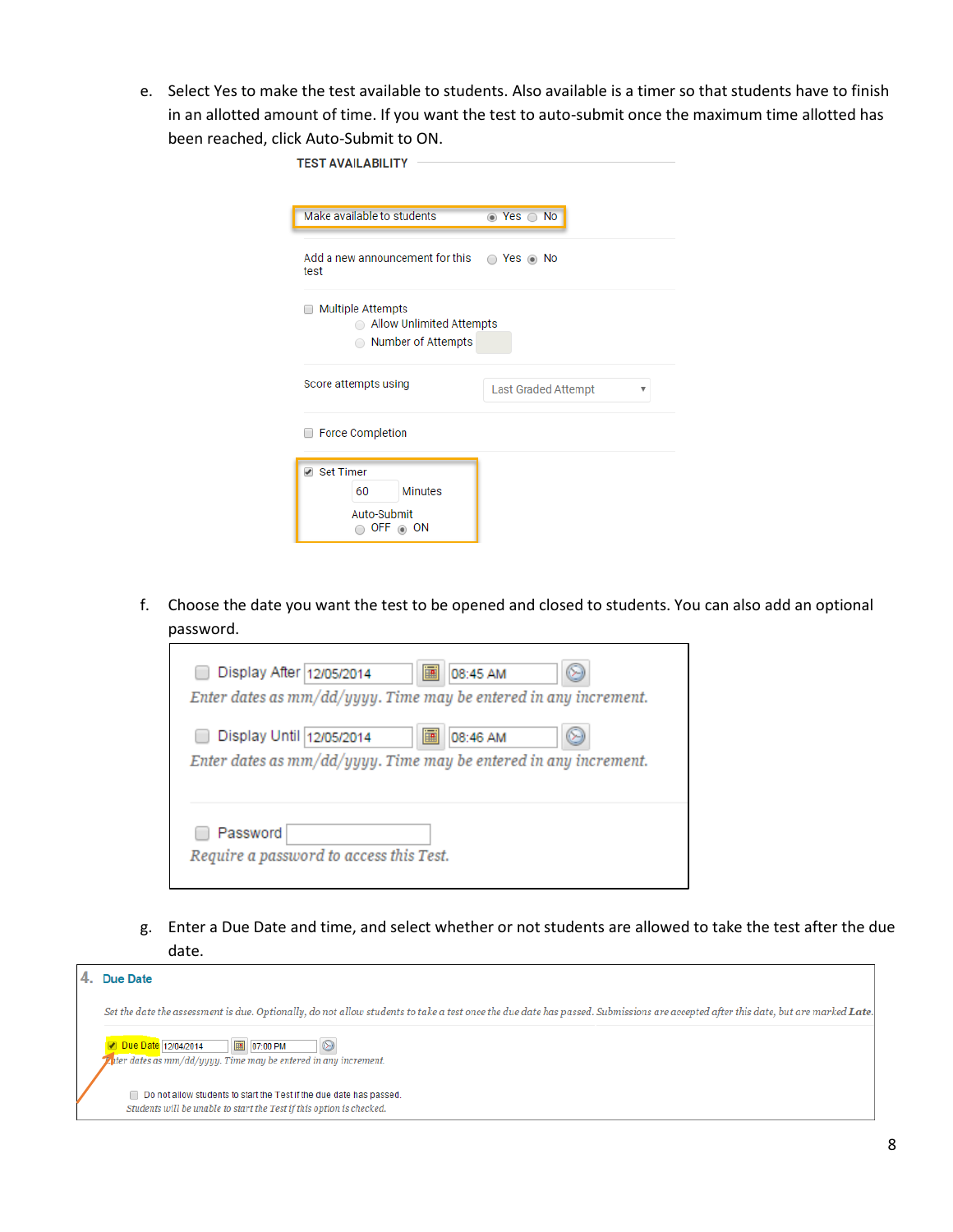e. Select Yes to make the test available to students. Also available is a timer so that students have to finish in an allotted amount of time. If you want the test to auto-submit once the maximum time allotted has been reached, click Auto-Submit to ON.

| <b>TEST AVAILABILITY</b>                                                                     |                                    |  |
|----------------------------------------------------------------------------------------------|------------------------------------|--|
|                                                                                              |                                    |  |
| Make available to students                                                                   | $\bullet$ Yes $\circ$<br><b>No</b> |  |
| Add a new announcement for this<br>test                                                      | $Yes \odot No$<br>∩                |  |
| <b>Multiple Attempts</b><br>Allow Unlimited Attempts<br>$\bigcap$<br>Number of Attempts<br>∩ |                                    |  |
| Score attempts using                                                                         | <b>Last Graded Attempt</b><br>v    |  |
| <b>Force Completion</b>                                                                      |                                    |  |
| ✔ Set Timer<br><b>Minutes</b><br>60<br>Auto-Submit<br>OFF $\circledcirc$ ON                  |                                    |  |

f. Choose the date you want the test to be opened and closed to students. You can also add an optional password.

| 画<br>Display After 12/05/2014<br>08:45 AM<br>Enter dates as $mm/dd/yyyy$ . Time may be entered in any increment. |
|------------------------------------------------------------------------------------------------------------------|
| Ē<br>Display Until 12/05/2014<br>08:46 AM<br>Enter dates as $mm/dd/yyyy$ . Time may be entered in any increment. |
| Password<br>Require a password to access this Test.                                                              |

g. Enter a Due Date and time, and select whether or not students are allowed to take the test after the due date.

| Due Date                                                                                                                                                                          |  |
|-----------------------------------------------------------------------------------------------------------------------------------------------------------------------------------|--|
| Set the date the assessment is due. Optionally, do not allow students to take a test once the due date has passed. Submissions are accepted after this date, but are marked Late. |  |
| <b>圖 07:00 PM</b><br><b>Due Date</b> 12/04/2014<br>$\circledcirc$<br>$\mathbb{Z}$ ater dates as mm/dd/yyyy. Time may be entered in any increment.                                 |  |
| Do not allow students to start the Test if the due date has passed.<br>Students will be unable to start the Test if this option is checked.                                       |  |